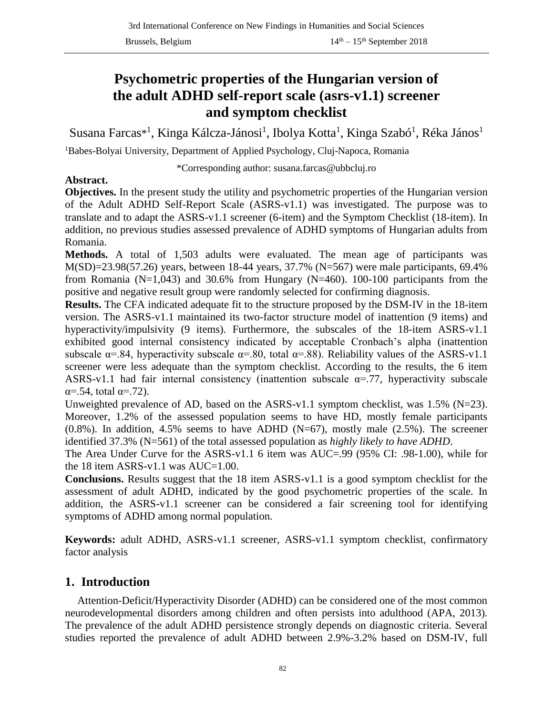# **Psychometric properties of the Hungarian version of the adult ADHD self-report scale (asrs-v1.1) screener and symptom checklist**

Susana Farcas\*<sup>1</sup>, Kinga Kálcza-Jánosi<sup>1</sup>, Ibolya Kotta<sup>1</sup>, Kinga Szabó<sup>1</sup>, Réka János<sup>1</sup>

<sup>1</sup>Babes-Bolyai University, Department of Applied Psychology, Cluj-Napoca, Romania

\*Corresponding author: susana.farcas@ubbcluj.ro

## **Abstract.**

**Objectives.** In the present study the utility and psychometric properties of the Hungarian version of the Adult ADHD Self-Report Scale (ASRS-v1.1) was investigated. The purpose was to translate and to adapt the ASRS-v1.1 screener (6-item) and the Symptom Checklist (18-item). In addition, no previous studies assessed prevalence of ADHD symptoms of Hungarian adults from Romania.

**Methods.** A total of 1,503 adults were evaluated. The mean age of participants was M(SD)=23.98(57.26) years, between 18-44 years, 37.7% (N=567) were male participants, 69.4% from Romania ( $N=1,043$ ) and 30.6% from Hungary ( $N=460$ ). 100-100 participants from the positive and negative result group were randomly selected for confirming diagnosis.

**Results.** The CFA indicated adequate fit to the structure proposed by the DSM-IV in the 18-item version. The ASRS-v1.1 maintained its two-factor structure model of inattention (9 items) and hyperactivity/impulsivity (9 items). Furthermore, the subscales of the 18-item ASRS-v1.1 exhibited good internal consistency indicated by acceptable Cronbach's alpha (inattention subscale  $\alpha = .84$ , hyperactivity subscale  $\alpha = .80$ , total  $\alpha = .88$ ). Reliability values of the ASRS-v1.1 screener were less adequate than the symptom checklist. According to the results, the 6 item ASRS-v1.1 had fair internal consistency (inattention subscale  $\alpha$ =.77, hyperactivity subscale  $\alpha = .54$ , total  $\alpha = .72$ ).

Unweighted prevalence of AD, based on the ASRS-v1.1 symptom checklist, was  $1.5\%$  (N=23). Moreover, 1.2% of the assessed population seems to have HD, mostly female participants  $(0.8\%)$ . In addition, 4.5% seems to have ADHD  $(N=67)$ , mostly male  $(2.5\%)$ . The screener identified 37.3% (N=561) of the total assessed population as *highly likely to have ADHD*.

The Area Under Curve for the ASRS-v1.1 6 item was AUC=.99 (95% CI: .98-1.00), while for the 18 item ASRS-v1.1 was AUC=1.00.

**Conclusions.** Results suggest that the 18 item ASRS-v1.1 is a good symptom checklist for the assessment of adult ADHD, indicated by the good psychometric properties of the scale. In addition, the ASRS-v1.1 screener can be considered a fair screening tool for identifying symptoms of ADHD among normal population.

**Keywords:** adult ADHD, ASRS-v1.1 screener, ASRS-v1.1 symptom checklist, confirmatory factor analysis

## **1. Introduction**

Attention-Deficit/Hyperactivity Disorder (ADHD) can be considered one of the most common neurodevelopmental disorders among children and often persists into adulthood (APA, 2013). The prevalence of the adult ADHD persistence strongly depends on diagnostic criteria. Several studies reported the prevalence of adult ADHD between 2.9%-3.2% based on DSM-IV, full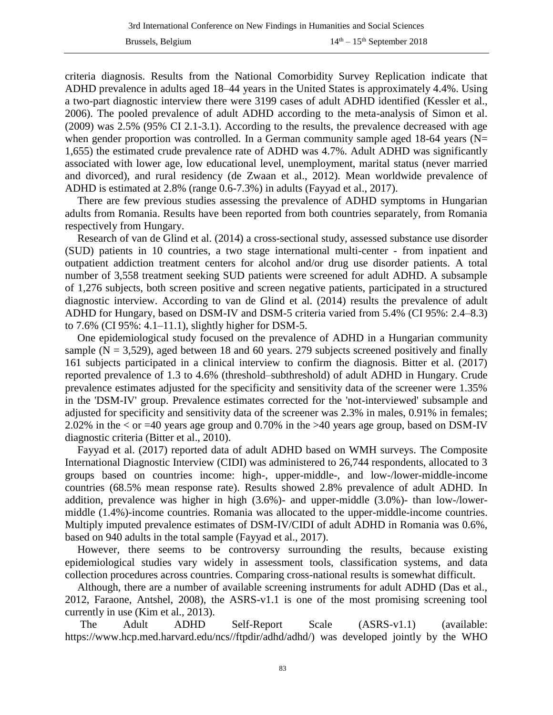criteria diagnosis. Results from the National Comorbidity Survey Replication indicate that ADHD prevalence in adults aged 18–44 years in the United States is approximately 4.4%. Using a two-part diagnostic interview there were 3199 cases of adult ADHD identified (Kessler et al., 2006). The pooled prevalence of adult ADHD according to the meta-analysis of Simon et al. (2009) was 2.5% (95% CI 2.1-3.1). According to the results, the prevalence decreased with age when gender proportion was controlled. In a German community sample aged 18-64 years (N= 1,655) the estimated crude prevalence rate of ADHD was 4.7%. Adult ADHD was significantly associated with lower age, low educational level, unemployment, marital status (never married and divorced), and rural residency (de Zwaan et al., 2012). Mean worldwide prevalence of ADHD is estimated at 2.8% (range 0.6-7.3%) in adults (Fayyad et al., 2017).

There are few previous studies assessing the prevalence of ADHD symptoms in Hungarian adults from Romania. Results have been reported from both countries separately, from Romania respectively from Hungary.

Research of van de Glind et al. (2014) a cross-sectional study, assessed substance use disorder (SUD) patients in 10 countries, a two stage international multi-center - from inpatient and outpatient addiction treatment centers for alcohol and/or drug use disorder patients. A total number of 3,558 treatment seeking SUD patients were screened for adult ADHD. A subsample of 1,276 subjects, both screen positive and screen negative patients, participated in a structured diagnostic interview. According to van de Glind et al. (2014) results the prevalence of adult ADHD for Hungary, based on DSM-IV and DSM-5 criteria varied from 5.4% (CI 95%: 2.4–8.3) to 7.6% (CI 95%: 4.1–11.1), slightly higher for DSM-5.

One epidemiological study focused on the prevalence of ADHD in a Hungarian community sample ( $N = 3,529$ ), aged between 18 and 60 years. 279 subjects screened positively and finally 161 subjects participated in a clinical interview to confirm the diagnosis. Bitter et al. (2017) reported prevalence of 1.3 to 4.6% (threshold–subthreshold) of adult ADHD in Hungary. Crude prevalence estimates adjusted for the specificity and sensitivity data of the screener were 1.35% in the 'DSM-IV' group. Prevalence estimates corrected for the 'not-interviewed' subsample and adjusted for specificity and sensitivity data of the screener was 2.3% in males, 0.91% in females; 2.02% in the < or =40 years age group and 0.70% in the >40 years age group, based on DSM-IV diagnostic criteria (Bitter et al., 2010).

Fayyad et al. (2017) reported data of adult ADHD based on WMH surveys. The Composite International Diagnostic Interview (CIDI) was administered to 26,744 respondents, allocated to 3 groups based on countries income: high-, upper-middle-, and low-/lower-middle-income countries (68.5% mean response rate). Results showed 2.8% prevalence of adult ADHD. In addition, prevalence was higher in high (3.6%)- and upper-middle (3.0%)- than low-/lowermiddle (1.4%)-income countries. Romania was allocated to the upper-middle-income countries. Multiply imputed prevalence estimates of DSM-IV/CIDI of adult ADHD in Romania was 0.6%, based on 940 adults in the total sample (Fayyad et al., 2017).

However, there seems to be controversy surrounding the results, because existing epidemiological studies vary widely in assessment tools, classification systems, and data collection procedures across countries. Comparing cross-national results is somewhat difficult.

Although, there are a number of available screening instruments for adult ADHD (Das et al., 2012, Faraone, Antshel, 2008), the ASRS-v1.1 is one of the most promising screening tool currently in use (Kim et al., 2013).

The Adult ADHD Self-Report Scale (ASRS-v1.1) (available: https://www.hcp.med.harvard.edu/ncs//ftpdir/adhd/adhd/) was developed jointly by the WHO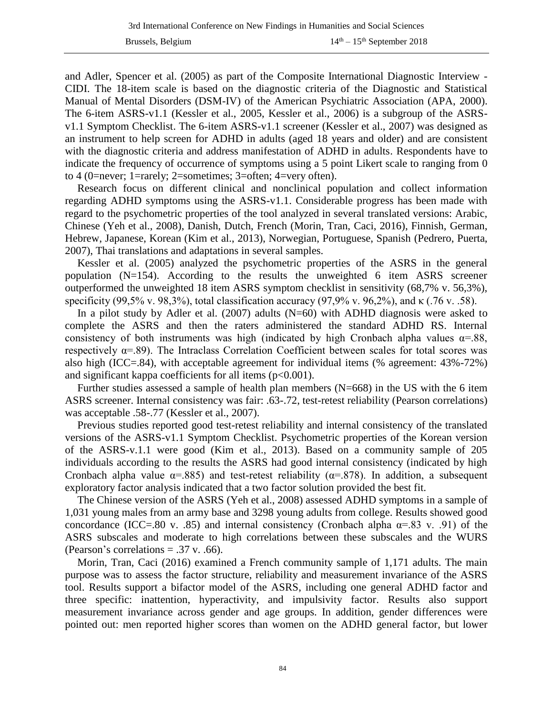and Adler, Spencer et al. (2005) as part of the Composite International Diagnostic Interview - CIDI. The 18-item scale is based on the diagnostic criteria of the Diagnostic and Statistical Manual of Mental Disorders (DSM-IV) of the American Psychiatric Association (APA, 2000). The 6-item ASRS-v1.1 (Kessler et al., 2005, Kessler et al., 2006) is a subgroup of the ASRSv1.1 Symptom Checklist. The 6-item ASRS-v1.1 screener (Kessler et al., 2007) was designed as an instrument to help screen for ADHD in adults (aged 18 years and older) and are consistent with the diagnostic criteria and address manifestation of ADHD in adults. Respondents have to indicate the frequency of occurrence of symptoms using a 5 point Likert scale to ranging from 0 to 4 (0=never; 1=rarely; 2=sometimes; 3=often; 4=very often).

Research focus on different clinical and nonclinical population and collect information regarding ADHD symptoms using the ASRS-v1.1. Considerable progress has been made with regard to the psychometric properties of the tool analyzed in several translated versions: Arabic, Chinese (Yeh et al., 2008), Danish, Dutch, French (Morin, Tran, Caci, 2016), Finnish, German, Hebrew, Japanese, Korean (Kim et al., 2013), Norwegian, Portuguese, Spanish (Pedrero, Puerta, 2007), Thai translations and adaptations in several samples.

Kessler et al. (2005) analyzed the psychometric properties of the ASRS in the general population (N=154). According to the results the unweighted 6 item ASRS screener outperformed the unweighted 18 item ASRS symptom checklist in sensitivity (68,7% v. 56,3%), specificity (99,5% v. 98,3%), total classification accuracy (97,9% v. 96,2%), and  $\kappa$  (.76 v. .58).

In a pilot study by Adler et al.  $(2007)$  adults  $(N=60)$  with ADHD diagnosis were asked to complete the ASRS and then the raters administered the standard ADHD RS. Internal consistency of both instruments was high (indicated by high Cronbach alpha values  $\alpha = .88$ , respectively  $\alpha$ =.89). The Intraclass Correlation Coefficient between scales for total scores was also high (ICC=.84), with acceptable agreement for individual items (% agreement: 43%-72%) and significant kappa coefficients for all items  $(p<0.001)$ .

Further studies assessed a sample of health plan members (N=668) in the US with the 6 item ASRS screener. Internal consistency was fair: .63-.72, test-retest reliability (Pearson correlations) was acceptable .58-.77 (Kessler et al., 2007).

Previous studies reported good test-retest reliability and internal consistency of the translated versions of the ASRS-v1.1 Symptom Checklist. Psychometric properties of the Korean version of the ASRS-v.1.1 were good (Kim et al., 2013). Based on a community sample of 205 individuals according to the results the ASRS had good internal consistency (indicated by high Cronbach alpha value  $\alpha = .885$ ) and test-retest reliability ( $\alpha = .878$ ). In addition, a subsequent exploratory factor analysis indicated that a two factor solution provided the best fit.

The Chinese version of the ASRS (Yeh et al., 2008) assessed ADHD symptoms in a sample of 1,031 young males from an army base and 3298 young adults from college. Results showed good concordance (ICC=.80 v. .85) and internal consistency (Cronbach alpha  $\alpha$ =.83 v. .91) of the ASRS subscales and moderate to high correlations between these subscales and the WURS (Pearson's correlations  $= .37$  v. .66).

Morin, Tran, Caci (2016) examined a French community sample of 1,171 adults. The main purpose was to assess the factor structure, reliability and measurement invariance of the ASRS tool. Results support a bifactor model of the ASRS, including one general ADHD factor and three specific: inattention, hyperactivity, and impulsivity factor. Results also support measurement invariance across gender and age groups. In addition, gender differences were pointed out: men reported higher scores than women on the ADHD general factor, but lower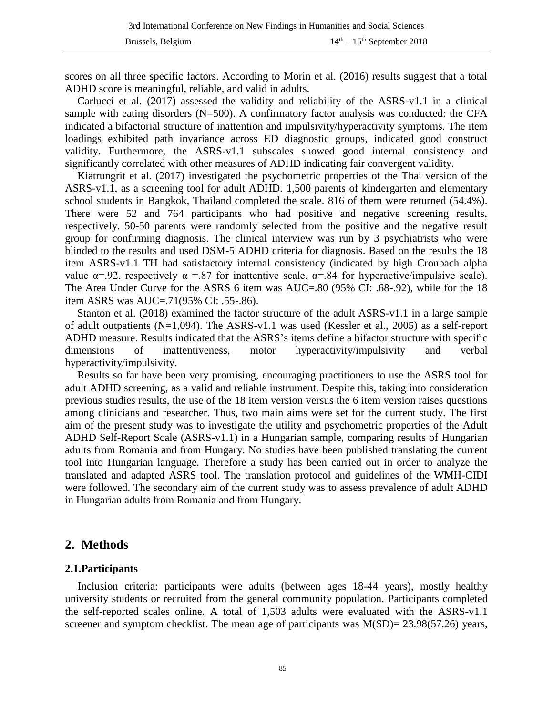scores on all three specific factors. According to Morin et al. (2016) results suggest that a total ADHD score is meaningful, reliable, and valid in adults.

Carlucci et al. (2017) assessed the validity and reliability of the ASRS-v1.1 in a clinical sample with eating disorders (N=500). A confirmatory factor analysis was conducted: the CFA indicated a bifactorial structure of inattention and impulsivity/hyperactivity symptoms. The item loadings exhibited path invariance across ED diagnostic groups, indicated good construct validity. Furthermore, the ASRS-v1.1 subscales showed good internal consistency and significantly correlated with other measures of ADHD indicating fair convergent validity.

Kiatrungrit et al. (2017) investigated the psychometric properties of the Thai version of the ASRS-v1.1, as a screening tool for adult ADHD. 1,500 parents of kindergarten and elementary school students in Bangkok, Thailand completed the scale. 816 of them were returned (54.4%). There were 52 and 764 participants who had positive and negative screening results, respectively. 50-50 parents were randomly selected from the positive and the negative result group for confirming diagnosis. The clinical interview was run by 3 psychiatrists who were blinded to the results and used DSM-5 ADHD criteria for diagnosis. Based on the results the 18 item ASRS-v1.1 TH had satisfactory internal consistency (indicated by high Cronbach alpha value  $\alpha$ =.92, respectively  $\alpha$  =.87 for inattentive scale,  $\alpha$ =.84 for hyperactive/impulsive scale). The Area Under Curve for the ASRS 6 item was AUC=.80 (95% CI: .68-.92), while for the 18 item ASRS was AUC=.71(95% CI: .55-.86).

Stanton et al. (2018) examined the factor structure of the adult ASRS-v1.1 in a large sample of adult outpatients (N=1,094). The ASRS-v1.1 was used (Kessler et al., 2005) as a self-report ADHD measure. Results indicated that the ASRS's items define a bifactor structure with specific dimensions of inattentiveness, motor hyperactivity/impulsivity and verbal hyperactivity/impulsivity.

Results so far have been very promising, encouraging practitioners to use the ASRS tool for adult ADHD screening, as a valid and reliable instrument. Despite this, taking into consideration previous studies results, the use of the 18 item version versus the 6 item version raises questions among clinicians and researcher. Thus, two main aims were set for the current study. The first aim of the present study was to investigate the utility and psychometric properties of the Adult ADHD Self-Report Scale (ASRS-v1.1) in a Hungarian sample, comparing results of Hungarian adults from Romania and from Hungary. No studies have been published translating the current tool into Hungarian language. Therefore a study has been carried out in order to analyze the translated and adapted ASRS tool. The translation protocol and guidelines of the WMH-CIDI were followed. The secondary aim of the current study was to assess prevalence of adult ADHD in Hungarian adults from Romania and from Hungary.

## **2. Methods**

#### **2.1.Participants**

Inclusion criteria: participants were adults (between ages 18-44 years), mostly healthy university students or recruited from the general community population. Participants completed the self-reported scales online. A total of 1,503 adults were evaluated with the ASRS-v1.1 screener and symptom checklist. The mean age of participants was  $M(SD) = 23.98(57.26)$  years,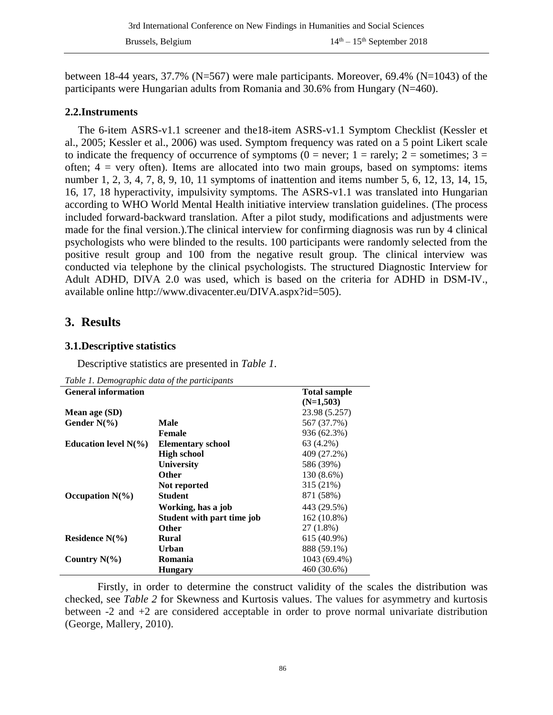between 18-44 years, 37.7% ( $N=567$ ) were male participants. Moreover, 69.4% ( $N=1043$ ) of the participants were Hungarian adults from Romania and 30.6% from Hungary (N=460).

#### **2.2.Instruments**

The 6-item ASRS-v1.1 screener and the18-item ASRS-v1.1 Symptom Checklist (Kessler et al., 2005; Kessler et al., 2006) was used. Symptom frequency was rated on a 5 point Likert scale to indicate the frequency of occurrence of symptoms ( $0 =$  never;  $1 =$  rarely;  $2 =$  sometimes;  $3 =$ often;  $4 = \text{very often}$ . Items are allocated into two main groups, based on symptoms: items number 1, 2, 3, 4, 7, 8, 9, 10, 11 symptoms of inattention and items number 5, 6, 12, 13, 14, 15, 16, 17, 18 hyperactivity, impulsivity symptoms. The ASRS-v1.1 was translated into Hungarian according to WHO World Mental Health initiative interview translation guidelines. (The process included forward-backward translation. After a pilot study, modifications and adjustments were made for the final version.).The clinical interview for confirming diagnosis was run by 4 clinical psychologists who were blinded to the results. 100 participants were randomly selected from the positive result group and 100 from the negative result group. The clinical interview was conducted via telephone by the clinical psychologists. The structured Diagnostic Interview for Adult ADHD, DIVA 2.0 was used, which is based on the criteria for ADHD in DSM-IV., available online http://www.divacenter.eu/DIVA.aspx?id=505).

## **3. Results**

#### **3.1.Descriptive statistics**

Descriptive statistics are presented in *Table 1*.

| <b>General information</b> |                            | <b>Total sample</b> |
|----------------------------|----------------------------|---------------------|
|                            |                            | $(N=1,503)$         |
| Mean age (SD)              |                            | 23.98 (5.257)       |
| Gender $N\%$ )             | Male                       | 567 (37.7%)         |
|                            | <b>Female</b>              | 936 (62.3%)         |
| Education level $N(\%)$    | <b>Elementary school</b>   | 63 (4.2%)           |
|                            | <b>High school</b>         | 409 (27.2%)         |
|                            | University                 | 586 (39%)           |
|                            | <b>Other</b>               | 130 (8.6%)          |
|                            | Not reported               | 315 (21%)           |
| Occupation $N(\% )$        | <b>Student</b>             | 871 (58%)           |
|                            | Working, has a job         | 443 (29.5%)         |
|                            | Student with part time job | $162(10.8\%)$       |
|                            | <b>Other</b>               | 27 (1.8%)           |
| Residence $N(\% )$         | Rural                      | 615 (40.9%)         |
|                            | <b>Urban</b>               | 888 (59.1%)         |
| Country $N(\% )$           | Romania                    | 1043 (69.4%)        |
|                            | <b>Hungary</b>             | 460 (30.6%)         |

*Table 1. Demographic data of the participants*

Firstly, in order to determine the construct validity of the scales the distribution was checked, see *Table 2* for Skewness and Kurtosis values. The values for asymmetry and kurtosis between -2 and +2 are considered acceptable in order to prove normal univariate distribution (George, Mallery, 2010).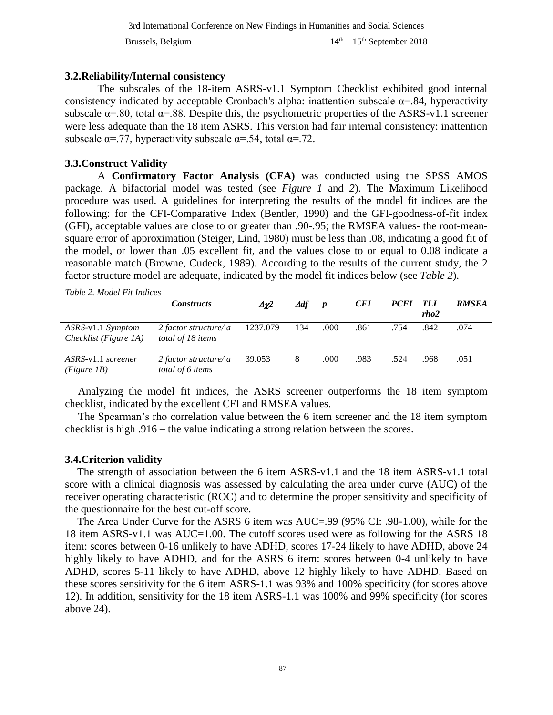#### **3.2.Reliability/Internal consistency**

The subscales of the 18-item ASRS-v1.1 Symptom Checklist exhibited good internal consistency indicated by acceptable Cronbach's alpha: inattention subscale  $\alpha$ =.84, hyperactivity subscale  $\alpha$ =.80, total  $\alpha$ =.88. Despite this, the psychometric properties of the ASRS-v1.1 screener were less adequate than the 18 item ASRS. This version had fair internal consistency: inattention subscale  $\alpha = .77$ , hyperactivity subscale  $\alpha = .54$ , total  $\alpha = .72$ .

#### **3.3.Construct Validity**

A **Confirmatory Factor Analysis (CFA)** was conducted using the SPSS AMOS package. A bifactorial model was tested (see *Figure 1* and *2*). The Maximum Likelihood procedure was used. A guidelines for interpreting the results of the model fit indices are the following: for the CFI-Comparative Index (Bentler, 1990) and the GFI-goodness-of-fit index (GFI), acceptable values are close to or greater than .90-.95; the RMSEA values- the root-meansquare error of approximation (Steiger, Lind, 1980) must be less than .08, indicating a good fit of the model, or lower than .05 excellent fit, and the values close to or equal to 0.08 indicate a reasonable match (Browne, Cudeck, 1989). According to the results of the current study, the 2 factor structure model are adequate, indicated by the model fit indices below (see *Table 2*).

*Table 2. Model Fit Indices*

|                                            | <i>Constructs</i>                          | $\Delta \chi^2$ | $\Delta df$ | $\boldsymbol{p}$ | <b>CFI</b> | <i>PCFI</i> | <i>TLI</i><br>rho2 | <b>RMSEA</b> |
|--------------------------------------------|--------------------------------------------|-----------------|-------------|------------------|------------|-------------|--------------------|--------------|
| ASRS-v1.1 Symptom<br>Checklist (Figure 1A) | 2 factor structure/ a<br>total of 18 items | 1237.079        | 134         | .000             | .861       | .754        | .842               | .074         |
| ASRS-v1.1 screener<br>(Figure 1B)          | 2 factor structure/ a<br>total of 6 items  | 39.053          | 8           | .000             | .983       | .524        | .968               | .051         |

Analyzing the model fit indices, the ASRS screener outperforms the 18 item symptom checklist, indicated by the excellent CFI and RMSEA values.

The Spearman's rho correlation value between the 6 item screener and the 18 item symptom checklist is high .916 – the value indicating a strong relation between the scores.

#### **3.4.Criterion validity**

The strength of association between the 6 item ASRS-v1.1 and the 18 item ASRS-v1.1 total score with a clinical diagnosis was assessed by calculating the area under curve (AUC) of the receiver operating characteristic (ROC) and to determine the proper sensitivity and specificity of the questionnaire for the best cut-off score.

The Area Under Curve for the ASRS 6 item was AUC=.99 (95% CI: .98-1.00), while for the 18 item ASRS-v1.1 was AUC=1.00. The cutoff scores used were as following for the ASRS 18 item: scores between 0-16 unlikely to have ADHD, scores 17-24 likely to have ADHD, above 24 highly likely to have ADHD, and for the ASRS 6 item: scores between 0-4 unlikely to have ADHD, scores 5-11 likely to have ADHD, above 12 highly likely to have ADHD. Based on these scores sensitivity for the 6 item ASRS-1.1 was 93% and 100% specificity (for scores above 12). In addition, sensitivity for the 18 item ASRS-1.1 was 100% and 99% specificity (for scores above 24).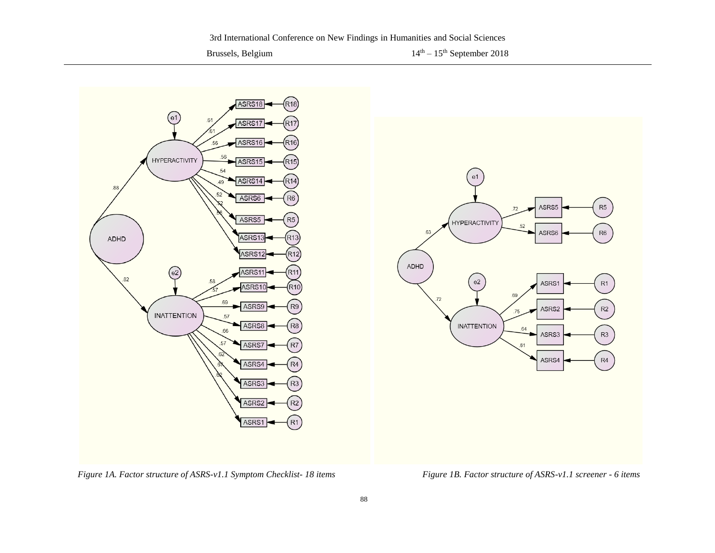Brussels, Belgium  $14<sup>th</sup> - 15<sup>th</sup>$  September 2018



*Figure 1A. Factor structure of ASRS-v1.1 Symptom Checklist- 18 items Figure 1B. Factor structure of ASRS-v1.1 screener - 6 items*

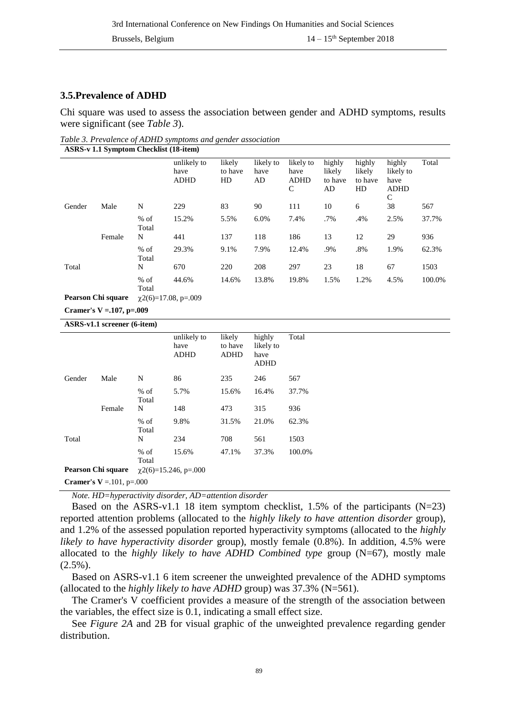#### **3.5.Prevalence of ADHD**

Chi square was used to assess the association between gender and ADHD symptoms, results were significant (see *Table 3*).

*Table 3. Prevalence of ADHD symptoms and gender association* **ASRS-v 1.1 Symptom Checklist (18-item)**

|                           |        |                 | unlikely to<br>have<br><b>ADHD</b> | likely<br>to have<br>HD | likely to<br>have<br>AD | likely to<br>have<br><b>ADHD</b><br>C | highly<br>likely<br>to have<br>AD | highly<br>likely<br>to have<br>HD | highly<br>likely to<br>have<br><b>ADHD</b><br>C | Total  |
|---------------------------|--------|-----------------|------------------------------------|-------------------------|-------------------------|---------------------------------------|-----------------------------------|-----------------------------------|-------------------------------------------------|--------|
| Gender                    | Male   | N               | 229                                | 83                      | 90                      | 111                                   | 10                                | 6                                 | 38                                              | 567    |
|                           |        | $%$ of<br>Total | 15.2%                              | 5.5%                    | 6.0%                    | 7.4%                                  | .7%                               | .4%                               | 2.5%                                            | 37.7%  |
|                           | Female | N               | 441                                | 137                     | 118                     | 186                                   | 13                                | 12                                | 29                                              | 936    |
|                           |        | $%$ of<br>Total | 29.3%                              | 9.1%                    | 7.9%                    | 12.4%                                 | .9%                               | .8%                               | 1.9%                                            | 62.3%  |
| Total                     |        | N               | 670                                | 220                     | 208                     | 297                                   | 23                                | 18                                | 67                                              | 1503   |
|                           |        | $%$ of<br>Total | 44.6%                              | 14.6%                   | 13.8%                   | 19.8%                                 | 1.5%                              | 1.2%                              | 4.5%                                            | 100.0% |
| <b>Pearson Chi square</b> |        |                 | $\chi$ 2(6)=17.08, p=.009          |                         |                         |                                       |                                   |                                   |                                                 |        |

**Cramer's V =.107, p=.009**

**ASRS-v1.1 screener (6-item)**

|                                 |        |                 | unlikely to<br>have<br><b>ADHD</b> | likely<br>to have<br><b>ADHD</b> | highly<br>likely to<br>have<br><b>ADHD</b> | Total  |  |  |
|---------------------------------|--------|-----------------|------------------------------------|----------------------------------|--------------------------------------------|--------|--|--|
| Gender                          | Male   | N               | 86                                 | 235                              | 246                                        | 567    |  |  |
|                                 |        | $%$ of<br>Total | 5.7%                               | 15.6%                            | 16.4%                                      | 37.7%  |  |  |
|                                 | Female | N               | 148                                | 473                              | 315                                        | 936    |  |  |
|                                 |        | $%$ of<br>Total | 9.8%                               | 31.5%                            | 21.0%                                      | 62.3%  |  |  |
| Total                           |        | N               | 234                                | 708                              | 561                                        | 1503   |  |  |
|                                 |        | $%$ of<br>Total | 15.6%                              | 47.1%                            | 37.3%                                      | 100.0% |  |  |
| Pearson Chi square              |        |                 | $\chi$ 2(6)=15.246, p=.000         |                                  |                                            |        |  |  |
| <b>Cramer's V</b> = 101, p= 000 |        |                 |                                    |                                  |                                            |        |  |  |

*Note. HD=hyperactivity disorder, AD=attention disorder*

Based on the ASRS-v1.1 18 item symptom checklist, 1.5% of the participants  $(N=23)$ reported attention problems (allocated to the *highly likely to have attention disorder* group), and 1.2% of the assessed population reported hyperactivity symptoms (allocated to the *highly likely to have hyperactivity disorder* group), mostly female (0.8%). In addition, 4.5% were allocated to the *highly likely to have ADHD Combined type* group (N=67), mostly male  $(2.5\%)$ .

Based on ASRS-v1.1 6 item screener the unweighted prevalence of the ADHD symptoms (allocated to the *highly likely to have ADHD* group) was 37.3% (N=561).

The Cramer's V coefficient provides a measure of the strength of the association between the variables, the effect size is 0.1, indicating a small effect size.

See *Figure 2A* and 2B for visual graphic of the unweighted prevalence regarding gender distribution.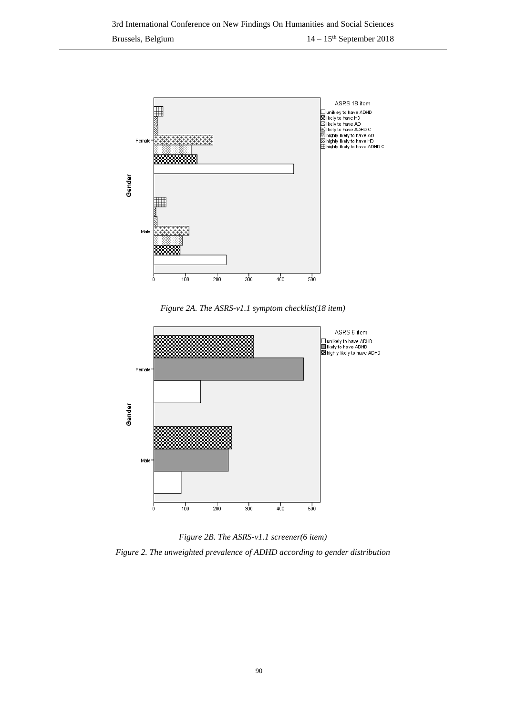

*Figure 2A. The ASRS-v1.1 symptom checklist(18 item)*



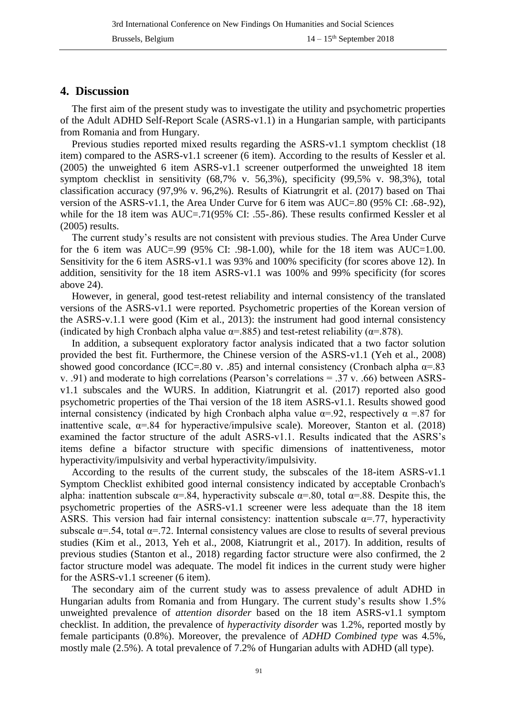## **4. Discussion**

The first aim of the present study was to investigate the utility and psychometric properties of the Adult ADHD Self-Report Scale (ASRS-v1.1) in a Hungarian sample, with participants from Romania and from Hungary.

Previous studies reported mixed results regarding the ASRS-v1.1 symptom checklist (18 item) compared to the ASRS-v1.1 screener (6 item). According to the results of Kessler et al. (2005) the unweighted 6 item ASRS-v1.1 screener outperformed the unweighted 18 item symptom checklist in sensitivity (68,7% v. 56,3%), specificity (99,5% v. 98,3%), total classification accuracy (97,9% v. 96,2%). Results of Kiatrungrit et al. (2017) based on Thai version of the ASRS-v1.1, the Area Under Curve for 6 item was AUC=.80 (95% CI: .68-.92), while for the 18 item was AUC=.71(95% CI: .55-.86). These results confirmed Kessler et al (2005) results.

The current study's results are not consistent with previous studies. The Area Under Curve for the 6 item was AUC=.99 (95% CI: .98-1.00), while for the 18 item was AUC=1.00. Sensitivity for the 6 item ASRS-v1.1 was 93% and 100% specificity (for scores above 12). In addition, sensitivity for the 18 item ASRS-v1.1 was 100% and 99% specificity (for scores above 24).

However, in general, good test-retest reliability and internal consistency of the translated versions of the ASRS-v1.1 were reported. Psychometric properties of the Korean version of the ASRS-v.1.1 were good (Kim et al., 2013): the instrument had good internal consistency (indicated by high Cronbach alpha value  $\alpha$ =.885) and test-retest reliability ( $\alpha$ =.878).

In addition, a subsequent exploratory factor analysis indicated that a two factor solution provided the best fit. Furthermore, the Chinese version of the ASRS-v1.1 (Yeh et al., 2008) showed good concordance (ICC=.80 v. .85) and internal consistency (Cronbach alpha  $\alpha$ =.83 v. .91) and moderate to high correlations (Pearson's correlations = .37 v. .66) between ASRSv1.1 subscales and the WURS. In addition, Kiatrungrit et al. (2017) reported also good psychometric properties of the Thai version of the 18 item ASRS-v1.1. Results showed good internal consistency (indicated by high Cronbach alpha value  $\alpha$ =.92, respectively  $\alpha$ =.87 for inattentive scale,  $\alpha$ =.84 for hyperactive/impulsive scale). Moreover, Stanton et al. (2018) examined the factor structure of the adult ASRS-v1.1. Results indicated that the ASRS's items define a bifactor structure with specific dimensions of inattentiveness, motor hyperactivity/impulsivity and verbal hyperactivity/impulsivity.

According to the results of the current study, the subscales of the 18-item ASRS-v1.1 Symptom Checklist exhibited good internal consistency indicated by acceptable Cronbach's alpha: inattention subscale  $\alpha$ =.84, hyperactivity subscale  $\alpha$ =.80, total  $\alpha$ =.88. Despite this, the psychometric properties of the ASRS-v1.1 screener were less adequate than the 18 item ASRS. This version had fair internal consistency: inattention subscale  $\alpha$ =.77, hyperactivity subscale  $\alpha$ =.54, total  $\alpha$ =.72. Internal consistency values are close to results of several previous studies (Kim et al., 2013, Yeh et al., 2008, Kiatrungrit et al., 2017). In addition, results of previous studies (Stanton et al., 2018) regarding factor structure were also confirmed, the 2 factor structure model was adequate. The model fit indices in the current study were higher for the ASRS-v1.1 screener (6 item).

The secondary aim of the current study was to assess prevalence of adult ADHD in Hungarian adults from Romania and from Hungary. The current study's results show 1.5% unweighted prevalence of *attention disorder* based on the 18 item ASRS-v1.1 symptom checklist. In addition, the prevalence of *hyperactivity disorder* was 1.2%, reported mostly by female participants (0.8%). Moreover, the prevalence of *ADHD Combined type* was 4.5%, mostly male (2.5%). A total prevalence of 7.2% of Hungarian adults with ADHD (all type).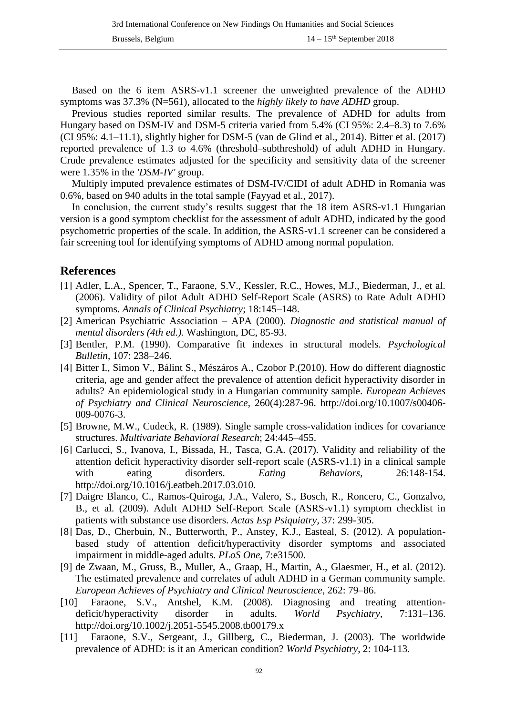Based on the 6 item ASRS-v1.1 screener the unweighted prevalence of the ADHD symptoms was 37.3% (N=561), allocated to the *highly likely to have ADHD* group.

Previous studies reported similar results. The prevalence of ADHD for adults from Hungary based on DSM-IV and DSM-5 criteria varied from 5.4% (CI 95%: 2.4–8.3) to 7.6% (CI 95%: 4.1–11.1), slightly higher for DSM-5 (van de Glind et al., 2014). Bitter et al. (2017) reported prevalence of 1.3 to 4.6% (threshold–subthreshold) of adult ADHD in Hungary. Crude prevalence estimates adjusted for the specificity and sensitivity data of the screener were 1.35% in the *'DSM-IV'* group.

Multiply imputed prevalence estimates of DSM-IV/CIDI of adult ADHD in Romania was 0.6%, based on 940 adults in the total sample (Fayyad et al., 2017).

In conclusion, the current study's results suggest that the 18 item ASRS-v1.1 Hungarian version is a good symptom checklist for the assessment of adult ADHD, indicated by the good psychometric properties of the scale. In addition, the ASRS-v1.1 screener can be considered a fair screening tool for identifying symptoms of ADHD among normal population.

## **References**

- [1] Adler, L.A., Spencer, T., Faraone, S.V., Kessler, R.C., Howes, M.J., Biederman, J., et al. (2006). Validity of pilot Adult ADHD Self-Report Scale (ASRS) to Rate Adult ADHD symptoms. *Annals of Clinical Psychiatry*; 18:145–148.
- [2] American Psychiatric Association APA (2000). *Diagnostic and statistical manual of mental disorders (4th ed.).* Washington, DC, 85-93.
- [3] Bentler, P.M. (1990). Comparative fit indexes in structural models. *Psychological Bulletin*, 107: 238–246.
- [4] Bitter I., Simon V., Bálint S., Mészáros A., Czobor P.(2010). How do different diagnostic criteria, age and gender affect the prevalence of attention deficit hyperactivity disorder in adults? An epidemiological study in a Hungarian community sample. *European Achieves of Psychiatry and Clinical Neuroscience*, 260(4):287-96. http://doi.org/10.1007/s00406- 009-0076-3.
- [5] Browne, M.W., Cudeck, R. (1989). Single sample cross-validation indices for covariance structures. *Multivariate Behavioral Research*; 24:445–455.
- [6] Carlucci, S., Ivanova, I., Bissada, H., Tasca, G.A. (2017). Validity and reliability of the attention deficit hyperactivity disorder self-report scale (ASRS-v1.1) in a clinical sample with eating disorders. *Eating Behaviors,* 26:148-154. http://doi.org/10.1016/j.eatbeh.2017.03.010.
- [7] Daigre Blanco, C., Ramos-Quiroga, J.A., Valero, S., Bosch, R., Roncero, C., Gonzalvo, B., et al. (2009). Adult ADHD Self-Report Scale (ASRS-v1.1) symptom checklist in patients with substance use disorders. *Actas Esp Psiquiatry*, 37: 299-305.
- [8] Das, D., Cherbuin, N., Butterworth, P., Anstey, K.J., Easteal, S. (2012). A populationbased study of attention deficit/hyperactivity disorder symptoms and associated impairment in middle-aged adults. *PLoS One*, 7:e31500.
- [9] de Zwaan, M., Gruss, B., Muller, A., Graap, H., Martin, A., Glaesmer, H., et al. (2012). The estimated prevalence and correlates of adult ADHD in a German community sample. *European Achieves of Psychiatry and Clinical Neuroscience*, 262: 79–86.
- [10] Faraone, S.V., Antshel, K.M. (2008). Diagnosing and treating attentiondeficit/hyperactivity disorder in adults. *World Psychiatry*, 7:131–136. http://doi.org/10.1002/j.2051-5545.2008.tb00179.x
- [11] Faraone, S.V., Sergeant, J., Gillberg, C., Biederman, J. (2003). The worldwide prevalence of ADHD: is it an American condition? *World Psychiatry*, 2: 104-113.